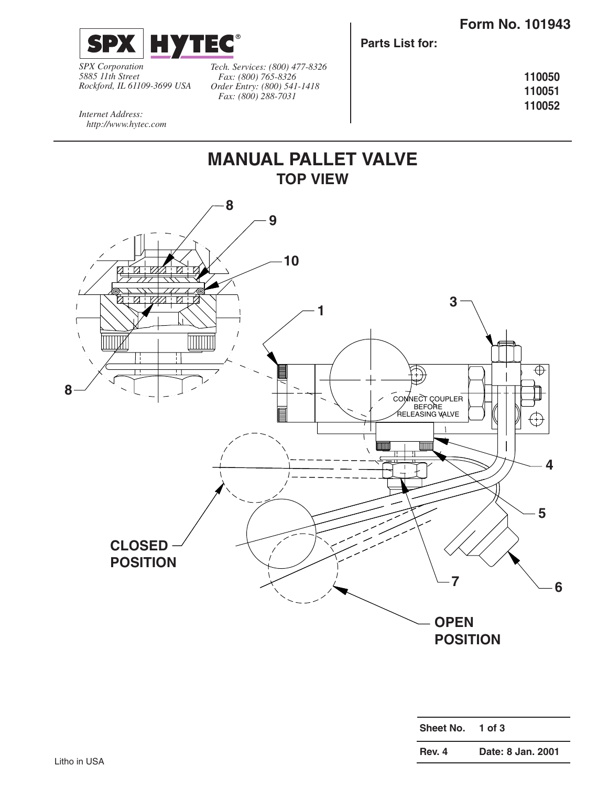

*SPX Corporation 5885 11th Street Rockford, IL 61109-3699 USA* *Tech. Services: (800) 477-8326 Fax: (800) 765-8326 Order Entry: (800) 541-1418 Fax: (800) 288-7031*

**Parts List for:**

**110050 110051 110052**

*Internet Address: http://www.hytec.com*



| Sheet No.     | $1$ of $3$        |
|---------------|-------------------|
| <b>Rev. 4</b> | Date: 8 Jan. 2001 |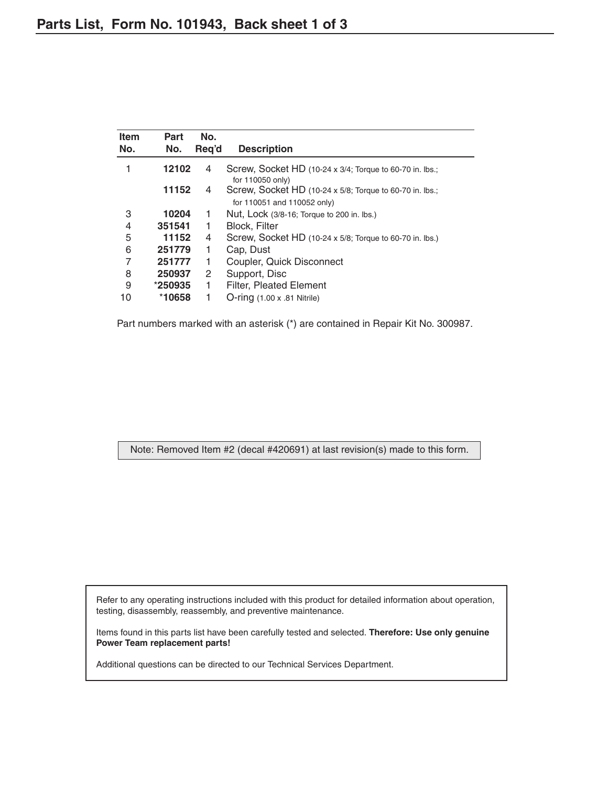| <b>Item</b><br>No. | Part<br>No. | No.<br>Reg'd | <b>Description</b>                                       |
|--------------------|-------------|--------------|----------------------------------------------------------|
|                    | 12102       | 4            | Screw, Socket HD (10-24 x 3/4; Torque to 60-70 in. lbs.; |
|                    |             |              | for 110050 only)                                         |
|                    | 11152       | 4            | Screw, Socket HD (10-24 x 5/8; Torque to 60-70 in. lbs.; |
|                    |             |              | for 110051 and 110052 only)                              |
| 3                  | 10204       | 1.           | Nut, Lock (3/8-16; Torque to 200 in. lbs.)               |
| 4                  | 351541      | 1.           | <b>Block, Filter</b>                                     |
| 5                  | 11152       | 4            | Screw, Socket HD (10-24 x 5/8; Torque to 60-70 in. lbs.) |
| 6                  | 251779      | 1            | Cap, Dust                                                |
| 7                  | 251777      | 1            | Coupler, Quick Disconnect                                |
| 8                  | 250937      | 2            | Support, Disc                                            |
| 9                  | *250935     | 1            | <b>Filter, Pleated Element</b>                           |
| 10                 | *10658      |              | $O$ -ring $(1.00 \times .81)$ Nitrile)                   |

Part numbers marked with an asterisk (\*) are contained in Repair Kit No. 300987.

Note: Removed Item #2 (decal #420691) at last revision(s) made to this form.

Refer to any operating instructions included with this product for detailed information about operation, testing, disassembly, reassembly, and preventive maintenance.

Items found in this parts list have been carefully tested and selected. **Therefore: Use only genuine Power Team replacement parts!**

Additional questions can be directed to our Technical Services Department.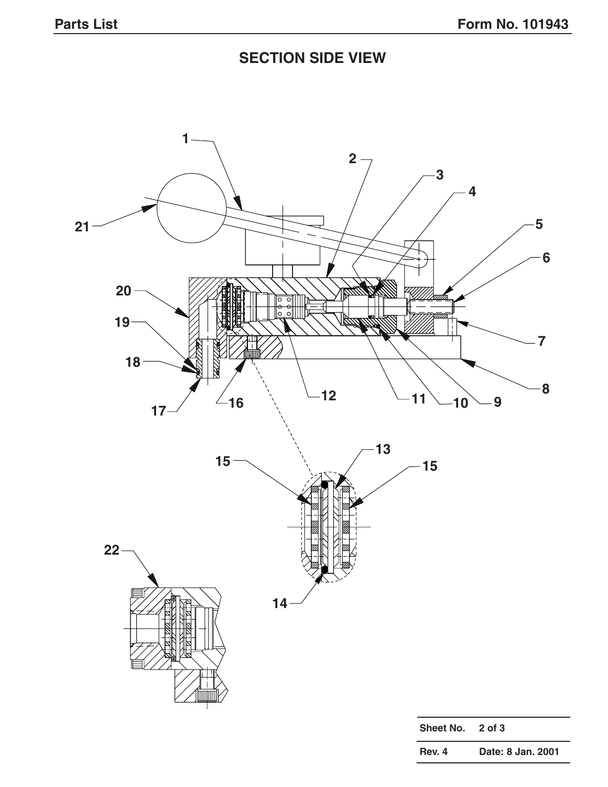## **SECTION SIDE VIEW**

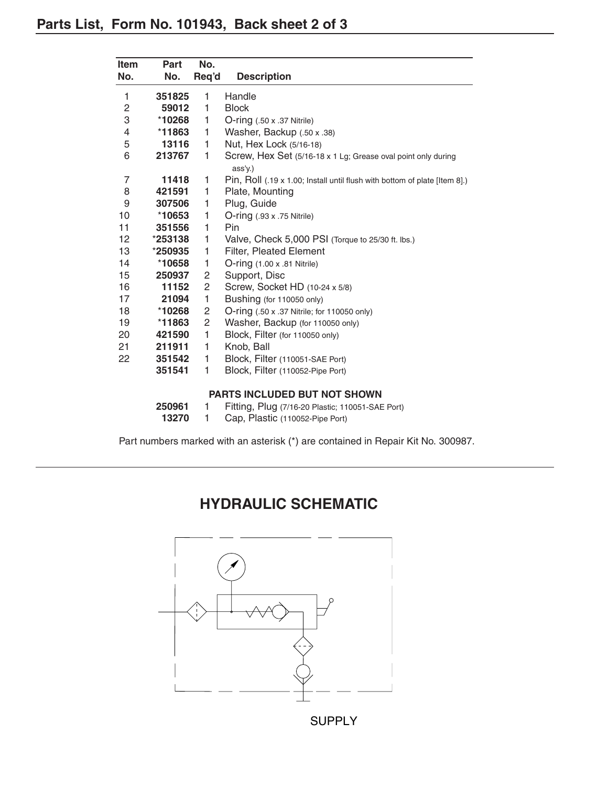| Item           | <b>Part</b>                         | No.            |                                                                            |  |
|----------------|-------------------------------------|----------------|----------------------------------------------------------------------------|--|
| No.            | No.                                 | Req'd          | <b>Description</b>                                                         |  |
| 1              | 351825                              | 1              | Handle                                                                     |  |
| $\overline{c}$ | 59012                               | 1              | <b>Block</b>                                                               |  |
| 3              | *10268                              | 1              | $O$ -ring $(.50 \times .37$ Nitrile)                                       |  |
| 4              | $*11863$                            | 1.             | Washer, Backup (.50 x .38)                                                 |  |
| 5              | 13116                               | 1.             | Nut, Hex Lock (5/16-18)                                                    |  |
| 6              | 213767                              | 1              | Screw, Hex Set (5/16-18 x 1 Lg; Grease oval point only during<br>ass'y.)   |  |
| 7              | 11418                               | 1              | Pin, Roll (.19 x 1.00; Install until flush with bottom of plate [Item 8].) |  |
| 8              | 421591                              | 1              | Plate, Mounting                                                            |  |
| 9              | 307506                              | 1              | Plug, Guide                                                                |  |
| 10             | *10653                              | 1              | $O$ -ring $(.93 \times .75$ Nitrile)                                       |  |
| 11             | 351556                              | 1              | Pin                                                                        |  |
| 12             | *253138                             | 1              | Valve, Check 5,000 PSI (Torque to 25/30 ft. lbs.)                          |  |
| 13             | $*250935$                           | 1              | <b>Filter, Pleated Element</b>                                             |  |
| 14             | *10658                              | 1              | $O$ -ring $(1.00 \times .81 \text{ Nitrile})$                              |  |
| 15             | 250937                              | 2              | Support, Disc                                                              |  |
| 16             | 11152                               | $\overline{2}$ | Screw, Socket HD (10-24 x 5/8)                                             |  |
| 17             | 21094                               | 1              | Bushing (for 110050 only)                                                  |  |
| 18             | *10268                              | 2              | O-ring (.50 x .37 Nitrile; for 110050 only)                                |  |
| 19             | *11863                              | $\overline{c}$ | Washer, Backup (for 110050 only)                                           |  |
| 20             | 421590                              | 1              | Block, Filter (for 110050 only)                                            |  |
| 21             | 211911                              | 1              | Knob, Ball                                                                 |  |
| 22             | 351542                              | 1              | Block, Filter (110051-SAE Port)                                            |  |
|                | 351541                              | 1              | Block, Filter (110052-Pipe Port)                                           |  |
|                | <b>PARTS INCLUDED BUT NOT SHOWN</b> |                |                                                                            |  |
|                | 250961                              | 1              | Fitting, Plug (7/16-20 Plastic; 110051-SAE Port)                           |  |
|                | 13270                               | 1              | Cap, Plastic (110052-Pipe Port)                                            |  |

Part numbers marked with an asterisk (\*) are contained in Repair Kit No. 300987.

## **HYDRAULIC SCHEMATIC**

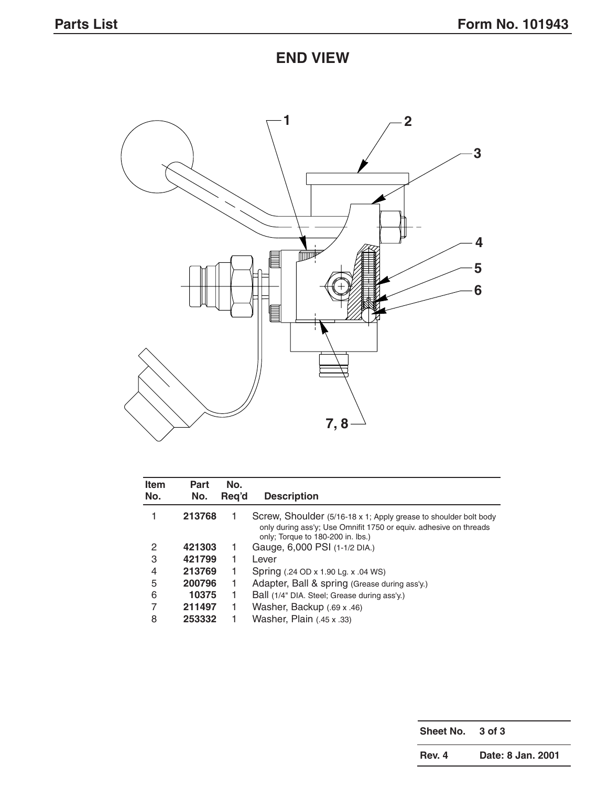## **END VIEW**



| <b>Item</b><br>No. | Part<br>No. | No.<br>Reg'd | <b>Description</b>                                                                                                                                                         |
|--------------------|-------------|--------------|----------------------------------------------------------------------------------------------------------------------------------------------------------------------------|
|                    | 213768      |              | Screw, Shoulder (5/16-18 x 1; Apply grease to shoulder bolt body<br>only during ass'y; Use Omnifit 1750 or equiv. adhesive on threads<br>only; Torque to 180-200 in. lbs.) |
| 2                  | 421303      |              | Gauge, 6,000 PSI (1-1/2 DIA.)                                                                                                                                              |
| 3                  | 421799      |              | Lever                                                                                                                                                                      |
| 4                  | 213769      |              | Spring (.24 OD x 1.90 Lg. x .04 WS)                                                                                                                                        |
| 5                  | 200796      |              | Adapter, Ball & spring (Grease during ass'y.)                                                                                                                              |
| 6                  | 10375       |              | Ball (1/4" DIA. Steel; Grease during ass'y.)                                                                                                                               |
| 7                  | 211497      | ı            | Washer, Backup (.69 x .46)                                                                                                                                                 |
| 8                  | 253332      |              | Washer, Plain (.45 x .33)                                                                                                                                                  |

**Sheet No. 3 of 3 Rev. 4 Date: 8 Jan. 2001**